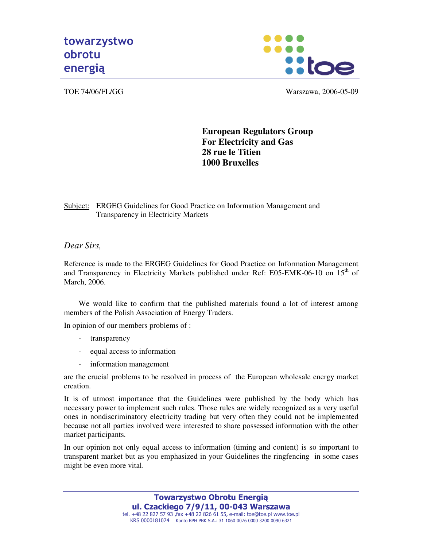



TOE 74/06/FL/GG Warszawa, 2006-05-09

## **European Regulators Group For Electricity and Gas 28 rue le Titien 1000 Bruxelles**

Subject: ERGEG Guidelines for Good Practice on Information Management and Transparency in Electricity Markets

*Dear Sirs,* 

Reference is made to the ERGEG Guidelines for Good Practice on Information Management and Transparency in Electricity Markets published under Ref: E05-EMK-06-10 on  $15<sup>th</sup>$  of March, 2006.

We would like to confirm that the published materials found a lot of interest among members of the Polish Association of Energy Traders.

In opinion of our members problems of :

- transparency
- equal access to information
- information management

are the crucial problems to be resolved in process of the European wholesale energy market creation.

It is of utmost importance that the Guidelines were published by the body which has necessary power to implement such rules. Those rules are widely recognized as a very useful ones in nondiscriminatory electricity trading but very often they could not be implemented because not all parties involved were interested to share possessed information with the other market participants.

In our opinion not only equal access to information (timing and content) is so important to transparent market but as you emphasized in your Guidelines the ringfencing in some cases might be even more vital.